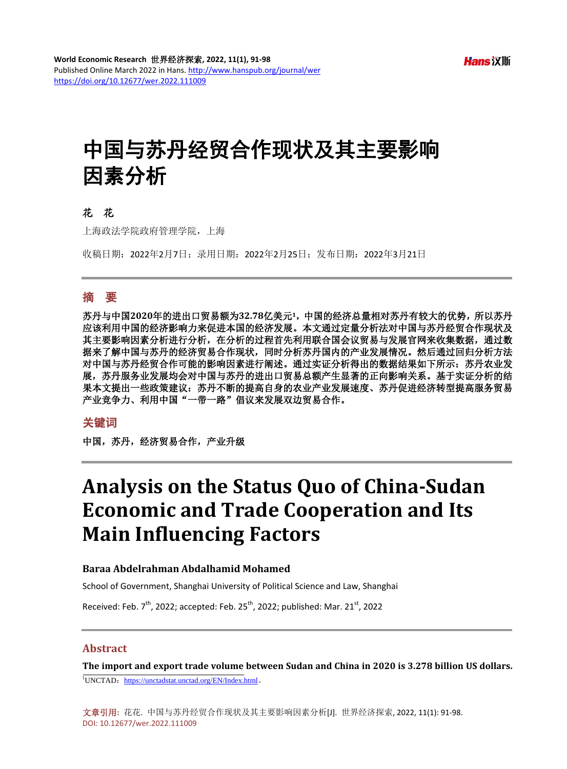# 中国与苏丹经贸合作现状及其主要影响 因素分析

#### 花花

上海政法学院政府管理学院,上海

收稿日期:2022年2月7日;录用日期:2022年2月25日;发布日期:2022年3月21日

## 摘 要

苏丹与中国**2020**年的进出口贸易额为**32.78**亿美元**1**,中国的经济总量相对苏丹有较大的优势,所以苏丹 应该利用中国的经济影响力来促进本国的经济发展。本文通过定量分析法对中国与苏丹经贸合作现状及 其主要影响因素分析进行分析,在分析的过程首先利用联合国会议贸易与发展官网来收集数据,通过数 据来了解中国与苏丹的经济贸易合作现状,同时分析苏丹国内的产业发展情况。然后通过回归分析方法 对中国与苏丹经贸合作可能的影响因素进行阐述。通过实证分析得出的数据结果如下所示: 苏丹农业发 展,苏丹服务业发展均会对中国与苏丹的进出口贸易总额产生显著的正向影响关系。基于实证分析的结 果本文提出一些政策建议:苏丹不断的提高自身的农业产业发展速度、苏丹促进经济转型提高服务贸易 产业竞争力、利用中国"一带一路"倡议来发展双边贸易合作。

#### 关键词

中国,苏丹,经济贸易合作,产业升级

## **Analysis on the Status Quo of China-Sudan Economic and Trade Cooperation and Its Main Influencing Factors**

#### **Baraa Abdelrahman Abdalhamid Mohamed**

School of Government, Shanghai University of Political Science and Law, Shanghai

Received: Feb. 7<sup>th</sup>, 2022; accepted: Feb. 25<sup>th</sup>, 2022; published: Mar. 21<sup>st</sup>, 2022

#### **Abstract**

**The import and export trade volume between Sudan and China in 2020 is 3.278 billion US dollars.**  <sup>1</sup>UNCTAD: <https://unctadstat.unctad.org/EN/Index.html>。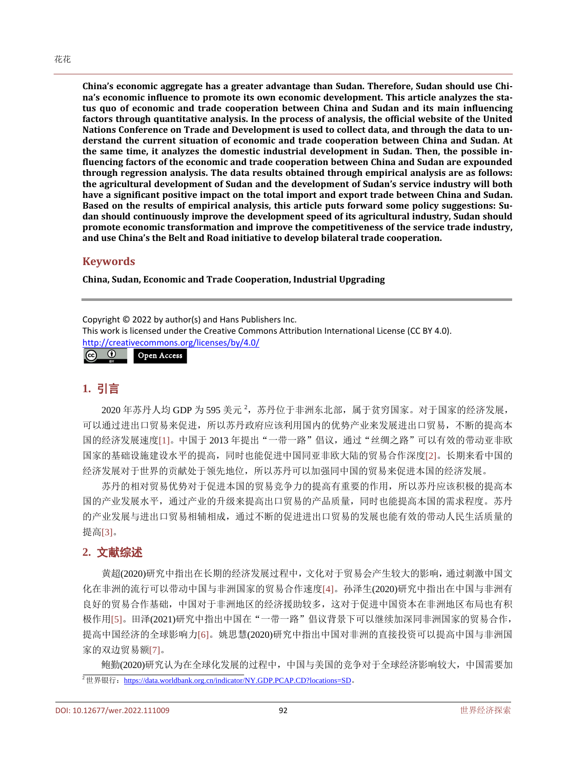**China's economic aggregate has a greater advantage than Sudan. Therefore, Sudan should use China's economic influence to promote its own economic development. This article analyzes the status quo of economic and trade cooperation between China and Sudan and its main influencing factors through quantitative analysis. In the process of analysis, the official website of the United Nations Conference on Trade and Development is used to collect data, and through the data to understand the current situation of economic and trade cooperation between China and Sudan. At the same time, it analyzes the domestic industrial development in Sudan. Then, the possible influencing factors of the economic and trade cooperation between China and Sudan are expounded through regression analysis. The data results obtained through empirical analysis are as follows: the agricultural development of Sudan and the development of Sudan's service industry will both have a significant positive impact on the total import and export trade between China and Sudan. Based on the results of empirical analysis, this article puts forward some policy suggestions: Sudan should continuously improve the development speed of its agricultural industry, Sudan should promote economic transformation and improve the competitiveness of the service trade industry, and use China's the Belt and Road initiative to develop bilateral trade cooperation.**

#### **Keywords**

**China, Sudan, Economic and Trade Cooperation, Industrial Upgrading**

Copyright © 2022 by author(s) and Hans Publishers Inc.

This work is licensed under the Creative Commons Attribution International License (CC BY 4.0).

<http://creativecommons.org/licenses/by/4.0/>

 $\circledcirc$ Open Access

### **1.** 引言

2020 年苏丹人均 GDP 为 595 美元 <sup>2</sup>,苏丹位于非洲东北部,属于贫穷国家。对于国家的经济发展, 可以通过进出口贸易来促进,所以苏丹政府应该利用国内的优势产业来发展进出口贸易,不断的提高本 国的经济发展速度[\[1\]](#page-7-0)。中国于 2013 年提出"一带一路"倡议,通过"丝绸之路"可以有效的带动亚非欧 国家的基础设施建设水平的提高,同时也能促进中国同亚非欧大陆的贸易合作深度[\[2\]](#page-7-1)。长期来看中国的 经济发展对于世界的贡献处于领先地位,所以苏丹可以加强同中国的贸易来促进本国的经济发展。

苏丹的相对贸易优势对于促进本国的贸易竞争力的提高有重要的作用,所以苏丹应该积极的提高本 国的产业发展水平,通过产业的升级来提高出口贸易的产品质量,同时也能提高本国的需求程度。苏丹 的产业发展与进出口贸易相辅相成,通过不断的促进进出口贸易的发展也能有效的带动人民生活质量的 提高[\[3\]](#page-7-2)。

#### **2.** 文献综述

黄超(2020)研究中指出在长期的经济发展过程中,文化对于贸易会产生较大的影响,通过刺激中国文 化在非洲的流行可以带动中国与非洲国家的贸易合作速度[\[4\]](#page-7-3)。孙泽生(2020)研究中指出在中国与非洲有 良好的贸易合作基础,中国对于非洲地区的经济援助较多,这对于促进中国资本在非洲地区布局也有积 极作用[\[5\]](#page-7-4)。田泽(2021)研究中指出中国在"一带一路"倡议背景下可以继续加深同非洲国家的贸易合作, 提高中国经济的全球影响力[\[6\]](#page-7-5)。姚思慧(2020)研究中指出中国对非洲的直接投资可以提高中国与非洲国 家的双边贸易额[\[7\]](#page-7-6)。

鲍勤(2020)研究认为在全球化发展的过程中,中国与美国的竞争对于全球经济影响较大,中国需要加 <sup>2</sup>世界银行: <https://data.worldbank.org.cn/indicator/NY.GDP.PCAP.CD?locations=SD>。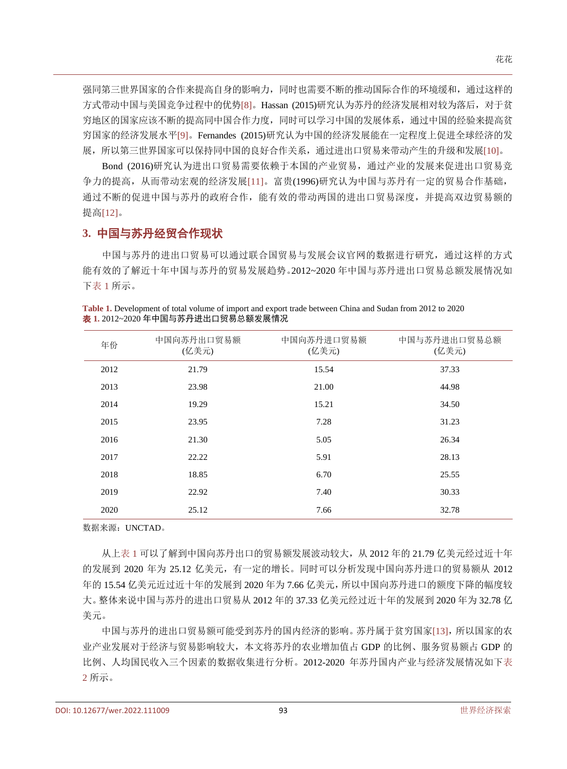强同第三世界国家的合作来提高自身的影响力,同时也需要不断的推动国际合作的环境缓和,通过这样的 方式带动中国与美国竞争过程中的优势[\[8\]](#page-7-7)。Hassan (2015)研究认为苏丹的经济发展相对较为落后,对于贫 穷地区的国家应该不断的提高同中国合作力度,同时可以学习中国的发展体系,通过中国的经验来提高贫 穷国家的经济发展水平[\[9\]](#page-7-8)。Fernandes (2015)研究认为中国的经济发展能在一定程度上促进全球经济的发 展,所以第三世界国家可以保持同中国的良好合作关系,通过进出口贸易来带动产生的升级和发展[\[10\]](#page-7-9)。

Bond (2016)研究认为进出口贸易需要依赖于本国的产业贸易,通过产业的发展来促进出口贸易竞 争力的提高,从而带动宏观的经济发展[\[11\]](#page-7-10)。富贵(1996)研究认为中国与苏丹有一定的贸易合作基础, 通过不断的促进中国与苏丹的政府合作,能有效的带动两国的进出口贸易深度,并提高双边贸易额的 提高[\[12\]](#page-7-11)。

## **3.** 中国与苏丹经贸合作现状

中国与苏丹的进出口贸易可以通过联合国贸易与发展会议官网的数据进行研究,通过这样的方式 能有效的了解近十年中国与苏丹的贸易发展趋势。2012~2020 年中国与苏丹进出口贸易总额发展情况如 [下表](#page-2-0) 1 所示。

| 年份   | 中国向苏丹出口贸易额<br>(亿美元) | 中国向苏丹进口贸易额<br>(亿美元) | 中国与苏丹进出口贸易总额<br>(亿美元) |
|------|---------------------|---------------------|-----------------------|
| 2012 | 21.79               | 15.54               | 37.33                 |
| 2013 | 23.98               | 21.00               | 44.98                 |
| 2014 | 19.29               | 15.21               | 34.50                 |
| 2015 | 23.95               | 7.28                | 31.23                 |
| 2016 | 21.30               | 5.05                | 26.34                 |
| 2017 | 22.22               | 5.91                | 28.13                 |
| 2018 | 18.85               | 6.70                | 25.55                 |
| 2019 | 22.92               | 7.40                | 30.33                 |
| 2020 | 25.12               | 7.66                | 32.78                 |

<span id="page-2-0"></span>**Table 1.** Development of total volume of import and export trade between China and Sudan from 2012 to 2020 表 **1.** 2012~2020 年中国与苏丹进出口贸易总额发展情况

数据来源:UNCTAD。

从[上表](#page-2-0) 1 可以了解到中国向苏丹出口的贸易额发展波动较大,从 2012 年的 21.79 亿美元经过近十年 的发展到 2020 年为 25.12 亿美元,有一定的增长。同时可以分析发现中国向苏丹进口的贸易额从 2012 年的 15.54 亿美元近过近十年的发展到 2020 年为 7.66 亿美元,所以中国向苏丹进口的额度下降的幅度较 大。整体来说中国与苏丹的进出口贸易从 2012 年的 37.33 亿美元经过近十年的发展到 2020 年为 32.78 亿 美元。

中国与苏丹的进出口贸易额可能受到苏丹的国内经济的影响。苏丹属于贫穷国家[\[13\]](#page-7-12),所以国家的农 业产业发展对于经济与贸易影响较大,本文将苏丹的农业增加值占 GDP 的比例、服务贸易额占 GDP 的 比例、人均国民收入三个因素的数据收集进行分析。2012-2020 年苏丹国内产业与经济发展情况如[下表](#page-3-0) [2](#page-3-0) 所示。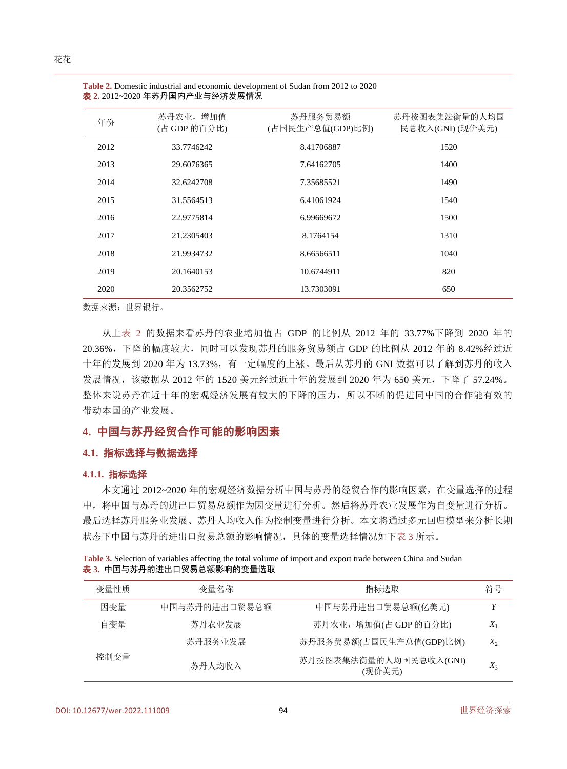| 年份   | 苏丹农业, 增加值<br>(占 GDP 的百分比) | 苏丹服务贸易额<br>(占国民生产总值(GDP)比例) | 苏丹按图表集法衡量的人均国<br>民总收入(GNI) (现价美元) |
|------|---------------------------|-----------------------------|-----------------------------------|
| 2012 | 33.7746242                | 8.41706887                  | 1520                              |
| 2013 | 29.6076365                | 7.64162705                  | 1400                              |
| 2014 | 32.6242708                | 7.35685521                  | 1490                              |
| 2015 | 31.5564513                | 6.41061924                  | 1540                              |
| 2016 | 22.9775814                | 6.99669672                  | 1500                              |
| 2017 | 21.2305403                | 8.1764154                   | 1310                              |
| 2018 | 21.9934732                | 8.66566511                  | 1040                              |
| 2019 | 20.1640153                | 10.6744911                  | 820                               |
| 2020 | 20.3562752                | 13.7303091                  | 650                               |

<span id="page-3-0"></span>

| <b>Table 2.</b> Domestic industrial and economic development of Sudan from 2012 to 2020 |  |
|-----------------------------------------------------------------------------------------|--|
| <b>表 2.</b> 2012~2020 年苏丹国内产业与经济发展情况                                                    |  |

数据来源:世界银行。

从[上表](#page-3-0) 2 的数据来看苏丹的农业增加值占 GDP 的比例从 2012 年的 33.77%下降到 2020 年的 20.36%,下降的幅度较大,同时可以发现苏丹的服务贸易额占 GDP 的比例从 2012 年的 8.42%经过近 十年的发展到 2020 年为 13.73%,有一定幅度的上涨。最后从苏丹的 GNI 数据可以了解到苏丹的收入 发展情况,该数据从 2012 年的 1520 美元经过近十年的发展到 2020 年为 650 美元,下降了 57.24%。 整体来说苏丹在近十年的宏观经济发展有较大的下降的压力,所以不断的促进同中国的合作能有效的 带动本国的产业发展。

## **4.** 中国与苏丹经贸合作可能的影响因素

#### **4.1.** 指标选择与数据选择

#### **4.1.1.** 指标选择

本文通过 2012~2020 年的宏观经济数据分析中国与苏丹的经贸合作的影响因素,在变量选择的过程 中,将中国与苏丹的进出口贸易总额作为因变量进行分析。然后将苏丹农业发展作为自变量进行分析。 最后选择苏丹服务业发展、苏丹人均收入作为控制变量进行分析。本文将通过多元回归模型来分析长期 状态下中国与苏丹的进出口贸易总额的影响情况,具体的变量选择情况如[下表](#page-3-1) 3 所示。

| 变量性质 | 变量名称          | 指标选取                             | 符号    |
|------|---------------|----------------------------------|-------|
| 因变量  | 中国与苏丹的进出口贸易总额 | 中国与苏丹进出口贸易总额(亿美元)                | Y     |
| 白变量  | 苏丹农业发展        | 苏丹农业, 增加值(占 GDP 的百分比)            | $X_1$ |
|      | 苏丹服务业发展       | 苏丹服务贸易额(占国民生产总值(GDP)比例)          | $X_2$ |
| 控制变量 | 苏丹人均收入        | 苏丹按图表集法衡量的人均国民总收入(GNI)<br>(现价美元) | $X_3$ |

<span id="page-3-1"></span>**Table 3.** Selection of variables affecting the total volume of import and export trade between China and Sudan 表 **3.** 中国与苏丹的进出口贸易总额影响的变量选取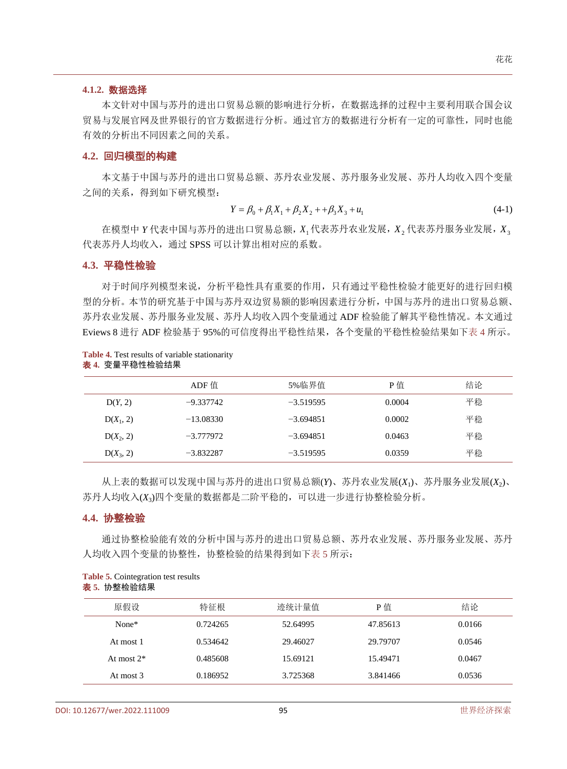#### **4.1.2.** 数据选择

本文针对中国与苏丹的进出口贸易总额的影响进行分析,在数据选择的过程中主要利用联合国会议 贸易与发展官网及世界银行的官方数据进行分析。通过官方的数据进行分析有一定的可靠性,同时也能 有效的分析出不同因素之间的关系。

#### **4.2.** 回归模型的构建

本文基于中国与苏丹的进出口贸易总额、苏丹农业发展、苏丹服务业发展、苏丹人均收入四个变量 之间的关系,得到如下研究模型:

$$
Y = \beta_0 + \beta_1 X_1 + \beta_2 X_2 + \beta_3 X_3 + u_1 \tag{4-1}
$$

在模型中 *Y* 代表中国与苏丹的进出口贸易总额,*X*<sup>1</sup> 代表苏丹农业发展,*X*<sup>2</sup> 代表苏丹服务业发展,*X*<sup>3</sup> 代表苏丹人均收入,通过 SPSS 可以计算出相对应的系数。

#### **4.3.** 平稳性检验

对于时间序列模型来说,分析平稳性具有重要的作用,只有通过平稳性检验才能更好的进行回归模 型的分析。本节的研究基于中国与苏丹双边贸易额的影响因素进行分析,中国与苏丹的进出口贸易总额、 苏丹农业发展、苏丹服务业发展、苏丹人均收入四个变量通过 ADF 检验能了解其平稳性情况。本文通过 Eviews 8 进行 ADF 检验基于 95%的可信度得出平稳性结果,各个变量的平稳性检验结果如[下表](#page-4-0) 4 所示。

#### <span id="page-4-0"></span>**Table 4.** Test results of variable stationarity 表 **4.** 变量平稳性检验结果

|             | ADF 值       | 5%临界值       | P值     | 结论 |
|-------------|-------------|-------------|--------|----|
| D(Y, 2)     | $-9.337742$ | $-3.519595$ | 0.0004 | 平稳 |
| $D(X_1, 2)$ | $-13.08330$ | $-3.694851$ | 0.0002 | 平稳 |
| $D(X_2, 2)$ | $-3.777972$ | $-3.694851$ | 0.0463 | 平稳 |
| $D(X_3, 2)$ | $-3.832287$ | $-3.519595$ | 0.0359 | 平稳 |

从上表的数据可以发现中国与苏丹的进出口贸易总额(*Y*)、苏丹农业发展(*X*1)、苏丹服务业发展(*X*2)、 苏丹人均收入(*X*3)四个变量的数据都是二阶平稳的,可以进一步进行协整检验分析。

#### **4.4.** 协整检验

通过协整检验能有效的分析中国与苏丹的进出口贸易总额、苏丹农业发展、苏丹服务业发展、苏丹 人均收入四个变量的协整性,协整检验的结果得到如[下表](#page-4-1) 5 所示:

| 原假设           | 特征根      | 迹统计量值    | P值       | 结论     |
|---------------|----------|----------|----------|--------|
| None*         | 0.724265 | 52.64995 | 47.85613 | 0.0166 |
| At most 1     | 0.534642 | 29.46027 | 29.79707 | 0.0546 |
| At most $2^*$ | 0.485608 | 15.69121 | 15.49471 | 0.0467 |
| At most 3     | 0.186952 | 3.725368 | 3.841466 | 0.0536 |

<span id="page-4-1"></span>**Table 5.** Cointegration test results 表 **5.** 协整检验结果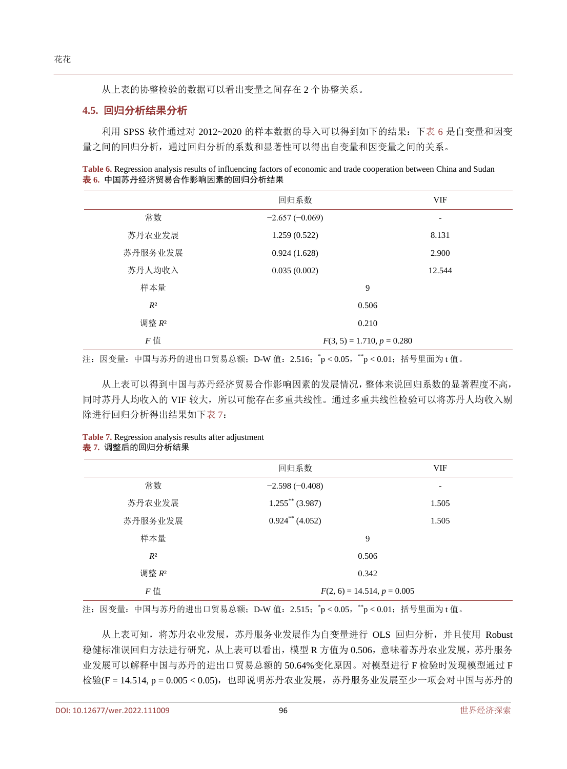从上表的协整检验的数据可以看出变量之间存在 2 个协整关系。

#### **4.5.** 回归分析结果分析

利用 SPSS 软件通过对 2012~2020 的样本数据的导入可以得到如下的结果:[下表](#page-5-0) 6 是自变量和因变 量之间的回归分析,通过回归分析的系数和显著性可以得出自变量和因变量之间的关系。

<span id="page-5-0"></span>**Table 6.** Regression analysis results of influencing factors of economic and trade cooperation between China and Sudan 表 **6.** 中国苏丹经济贸易合作影响因素的回归分析结果

|           | 回归系数                         | <b>VIF</b>               |
|-----------|------------------------------|--------------------------|
| 常数        | $-2.657(-0.069)$             | $\overline{\phantom{a}}$ |
| 苏丹农业发展    | 1.259(0.522)                 | 8.131                    |
| 苏丹服务业发展   | 0.924(1.628)                 | 2.900                    |
| 苏丹人均收入    | 0.035(0.002)                 | 12.544                   |
| 样本量       | 9                            |                          |
| $R^2$     | 0.506                        |                          |
| 调整 R2     | 0.210                        |                          |
| $F \n  f$ | $F(3, 5) = 1.710, p = 0.280$ |                          |

注: 因变量: 中国与苏丹的进出口贸易总额; D-W 值: 2.516; \*p<0.05, \*\*p<0.01; 括号里面为 t 值。

从上表可以得到中国与苏丹经济贸易合作影响因素的发展情况,整体来说回归系数的显著程度不高, 同时苏丹人均收入的 VIF 较大,所以可能存在多重共线性。通过多重共线性检验可以将苏丹人均收入剔 除进行回归分析得出结果如[下表](#page-5-1) 7:

<span id="page-5-1"></span>**Table 7.** Regression analysis results after adjustment 表 **7.** 调整后的回归分析结果

|         | 回归系数                          | <b>VIF</b>      |
|---------|-------------------------------|-----------------|
| 常数      | $-2.598(-0.408)$              | $\qquad \qquad$ |
| 苏丹农业发展  | $1.255$ ** (3.987)            | 1.505           |
| 苏丹服务业发展 | $0.924$ <sup>**</sup> (4.052) | 1.505           |
| 样本量     | 9                             |                 |
| $R^2$   | 0.506                         |                 |
| 调整 R2   | 0.342                         |                 |
| $F$ 值   | $F(2, 6) = 14.514, p = 0.005$ |                 |

注: 因变量: 中国与苏丹的进出口贸易总额; D-W 值: 2.515; \*p<0.05, \*\*p<0.01; 括号里面为 t 值。

从上表可知,将苏丹农业发展,苏丹服务业发展作为自变量进行 OLS 回归分析,并且使用 Robust 稳健标准误回归方法进行研究,从上表可以看出,模型 R 方值为 0.506,意味着苏丹农业发展,苏丹服务 业发展可以解释中国与苏丹的进出口贸易总额的 50.64%变化原因。对模型进行 F 检验时发现模型通过 F 检验(F = 14.514, p = 0.005 < 0.05),也即说明苏丹农业发展,苏丹服务业发展至少一项会对中国与苏丹的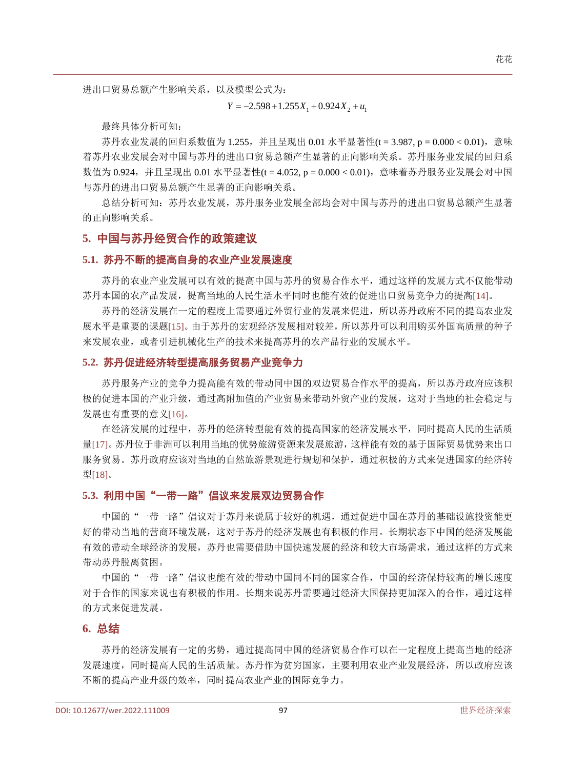$Y = -2.598 + 1.255X_1 + 0.924X_2 + u_1$ 

最终具体分析可知:

苏丹农业发展的回归系数值为 1.255, 并且呈现出 0.01 水平显著性(t = 3.987, p = 0.000 < 0.01), 意味 着苏丹农业发展会对中国与苏丹的进出口贸易总额产生显著的正向影响关系。苏丹服务业发展的回归系 数值为 0.924,并且呈现出 0.01 水平显著性(t = 4.052, p = 0.000 < 0.01),意味着苏丹服务业发展会对中国 与苏丹的进出口贸易总额产生显著的正向影响关系。

总结分析可知:苏丹农业发展,苏丹服务业发展全部均会对中国与苏丹的进出口贸易总额产生显著 的正向影响关系。

## **5.** 中国与苏丹经贸合作的政策建议

#### **5.1.** 苏丹不断的提高自身的农业产业发展速度

苏丹的农业产业发展可以有效的提高中国与苏丹的贸易合作水平,通过这样的发展方式不仅能带动 苏丹本国的农产品发展,提高当地的人民生活水平同时也能有效的促进出口贸易竞争力的提高[\[14\]](#page-7-13)。

苏丹的经济发展在一定的程度上需要通过外贸行业的发展来促进,所以苏丹政府不同的提高农业发 展水平是重要的课题[\[15\]](#page-7-14)。由于苏丹的宏观经济发展相对较差,所以苏丹可以利用购买外国高质量的种子 来发展农业,或者引进机械化生产的技术来提高苏丹的农产品行业的发展水平。

#### **5.2.** 苏丹促进经济转型提高服务贸易产业竞争力

苏丹服务产业的竞争力提高能有效的带动同中国的双边贸易合作水平的提高,所以苏丹政府应该积 极的促进本国的产业升级,通过高附加值的产业贸易来带动外贸产业的发展,这对于当地的社会稳定与 发展也有重要的意义[\[16\]](#page-7-15)。

在经济发展的过程中,苏丹的经济转型能有效的提高国家的经济发展水平,同时提高人民的生活质 量[\[17\]](#page-7-16)。苏丹位于非洲可以利用当地的优势旅游资源来发展旅游,这样能有效的基于国际贸易优势来出口 服务贸易。苏丹政府应该对当地的自然旅游景观进行规划和保护,通过积极的方式来促进国家的经济转 型[\[18\]](#page-7-17)。

#### **5.3.** 利用中国"一带一路"倡议来发展双边贸易合作

中国的"一带一路"倡议对于苏丹来说属于较好的机遇,通过促进中国在苏丹的基础设施投资能更 好的带动当地的营商环境发展,这对于苏丹的经济发展也有积极的作用。长期状态下中国的经济发展能 有效的带动全球经济的发展,苏丹也需要借助中国快速发展的经济和较大市场需求,通过这样的方式来 带动苏丹脱离贫困。

中国的"一带一路"倡议也能有效的带动中国同不同的国家合作,中国的经济保持较高的增长速度 对于合作的国家来说也有积极的作用。长期来说苏丹需要通过经济大国保持更加深入的合作,通过这样 的方式来促进发展。

## **6.** 总结

苏丹的经济发展有一定的劣势,通过提高同中国的经济贸易合作可以在一定程度上提高当地的经济 发展速度,同时提高人民的生活质量。苏丹作为贫穷国家,主要利用农业产业发展经济,所以政府应该 不断的提高产业升级的效率,同时提高农业产业的国际竞争力。